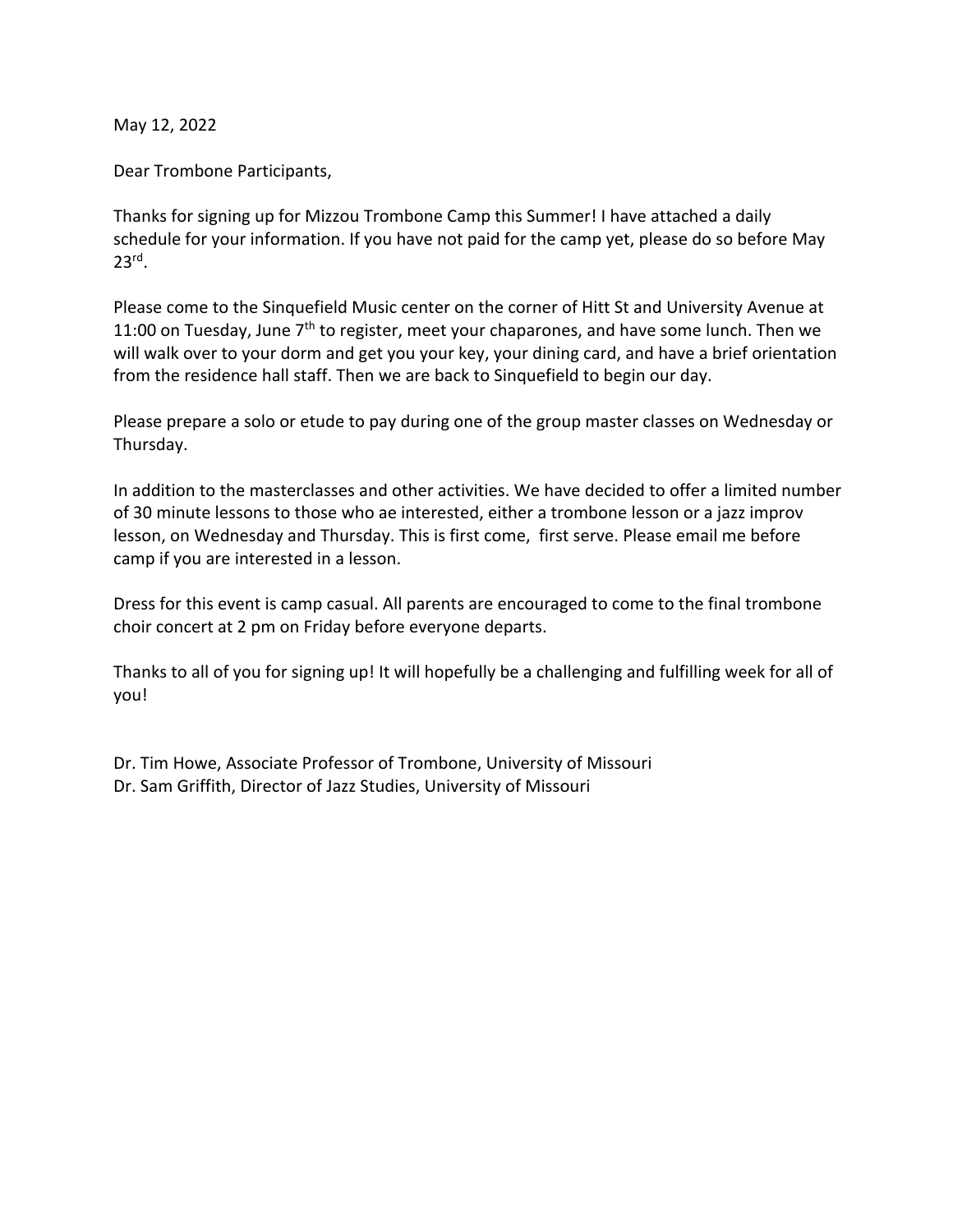May 12, 2022

Dear Trombone Participants,

Thanks for signing up for Mizzou Trombone Camp this Summer! I have attached a daily schedule for your information. If you have not paid for the camp yet, please do so before May 23rd.

Please come to the Sinquefield Music center on the corner of Hitt St and University Avenue at 11:00 on Tuesday, June  $7<sup>th</sup>$  to register, meet your chaparones, and have some lunch. Then we will walk over to your dorm and get you your key, your dining card, and have a brief orientation from the residence hall staff. Then we are back to Sinquefield to begin our day.

Please prepare a solo or etude to pay during one of the group master classes on Wednesday or Thursday.

In addition to the masterclasses and other activities. We have decided to offer a limited number of 30 minute lessons to those who ae interested, either a trombone lesson or a jazz improv lesson, on Wednesday and Thursday. This is first come, first serve. Please email me before camp if you are interested in a lesson.

Dress for this event is camp casual. All parents are encouraged to come to the final trombone choir concert at 2 pm on Friday before everyone departs.

Thanks to all of you for signing up! It will hopefully be a challenging and fulfilling week for all of you!

Dr. Tim Howe, Associate Professor of Trombone, University of Missouri Dr. Sam Griffith, Director of Jazz Studies, University of Missouri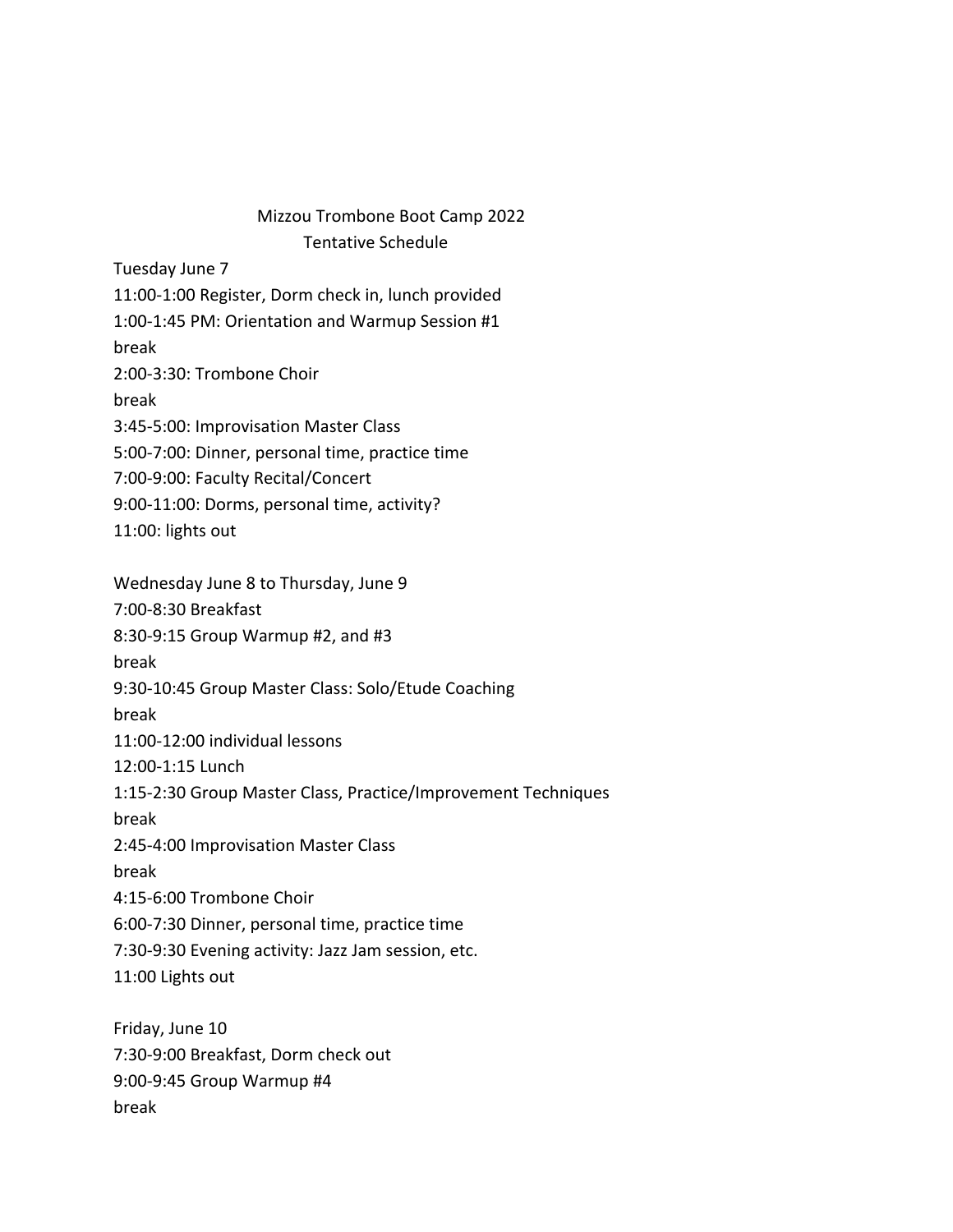## Mizzou Trombone Boot Camp 2022 Tentative Schedule

Tuesday June 7

11:00-1:00 Register, Dorm check in, lunch provided

1:00-1:45 PM: Orientation and Warmup Session #1

break

2:00-3:30: Trombone Choir

break

3:45-5:00: Improvisation Master Class

5:00-7:00: Dinner, personal time, practice time

7:00-9:00: Faculty Recital/Concert

9:00-11:00: Dorms, personal time, activity?

11:00: lights out

Wednesday June 8 to Thursday, June 9

7:00-8:30 Breakfast

8:30-9:15 Group Warmup #2, and #3

break

9:30-10:45 Group Master Class: Solo/Etude Coaching

break

11:00-12:00 individual lessons

12:00-1:15 Lunch

1:15-2:30 Group Master Class, Practice/Improvement Techniques

break

2:45-4:00 Improvisation Master Class

break

4:15-6:00 Trombone Choir

6:00-7:30 Dinner, personal time, practice time

7:30-9:30 Evening activity: Jazz Jam session, etc.

11:00 Lights out

Friday, June 10 7:30-9:00 Breakfast, Dorm check out 9:00-9:45 Group Warmup #4 break